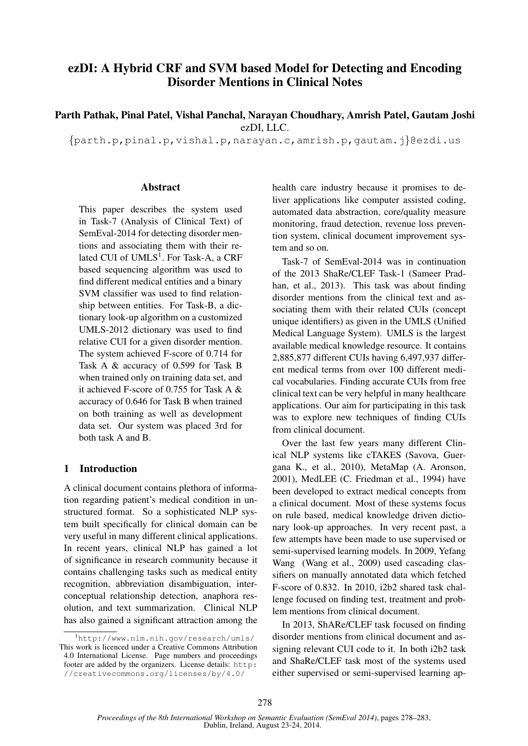# ezDI: A Hybrid CRF and SVM based Model for Detecting and Encoding Disorder Mentions in Clinical Notes

Parth Pathak, Pinal Patel, Vishal Panchal, Narayan Choudhary, Amrish Patel, Gautam Joshi ezDI, LLC.

{parth.p,pinal.p,vishal.p,narayan.c,amrish.p,gautam.j}@ezdi.us

#### **Abstract**

This paper describes the system used in Task-7 (Analysis of Clinical Text) of SemEval-2014 for detecting disorder mentions and associating them with their related CUI of  $\mathrm{UMLS}^1.$  For Task-A, a CRF based sequencing algorithm was used to find different medical entities and a binary SVM classifier was used to find relationship between entities. For Task-B, a dictionary look-up algorithm on a customized UMLS-2012 dictionary was used to find relative CUI for a given disorder mention. The system achieved F-score of 0.714 for Task A & accuracy of 0.599 for Task B when trained only on training data set, and it achieved F-score of 0.755 for Task A & accuracy of 0.646 for Task B when trained on both training as well as development data set. Our system was placed 3rd for both task A and B.

### 1 Introduction

A clinical document contains plethora of information regarding patient's medical condition in unstructured format. So a sophisticated NLP system built specifically for clinical domain can be very useful in many different clinical applications. In recent years, clinical NLP has gained a lot of significance in research community because it contains challenging tasks such as medical entity recognition, abbreviation disambiguation, interconceptual relationship detection, anaphora resolution, and text summarization. Clinical NLP has also gained a significant attraction among the health care industry because it promises to deliver applications like computer assisted coding, automated data abstraction, core/quality measure monitoring, fraud detection, revenue loss prevention system, clinical document improvement system and so on.

Task-7 of SemEval-2014 was in continuation of the 2013 ShaRe/CLEF Task-1 (Sameer Pradhan, et al., 2013). This task was about finding disorder mentions from the clinical text and associating them with their related CUIs (concept unique identifiers) as given in the UMLS (Unified Medical Language System). UMLS is the largest available medical knowledge resource. It contains 2,885,877 different CUIs having 6,497,937 different medical terms from over 100 different medical vocabularies. Finding accurate CUIs from free clinical text can be very helpful in many healthcare applications. Our aim for participating in this task was to explore new techniques of finding CUIs from clinical document.

Over the last few years many different Clinical NLP systems like cTAKES (Savova, Guergana K., et al., 2010), MetaMap (A. Aronson, 2001), MedLEE (C. Friedman et al., 1994) have been developed to extract medical concepts from a clinical document. Most of these systems focus on rule based, medical knowledge driven dictionary look-up approaches. In very recent past, a few attempts have been made to use supervised or semi-supervised learning models. In 2009, Yefang Wang (Wang et al., 2009) used cascading classifiers on manually annotated data which fetched F-score of 0.832. In 2010, i2b2 shared task challenge focused on finding test, treatment and problem mentions from clinical document.

In 2013, ShARe/CLEF task focused on finding disorder mentions from clinical document and assigning relevant CUI code to it. In both i2b2 task and ShaRe/CLEF task most of the systems used either supervised or semi-supervised learning ap-

<sup>1</sup>http://www.nlm.nih.gov/research/umls/ This work is licenced under a Creative Commons Attribution 4.0 International License. Page numbers and proceedings footer are added by the organizers. License details: http: //creativecommons.org/licenses/by/4.0/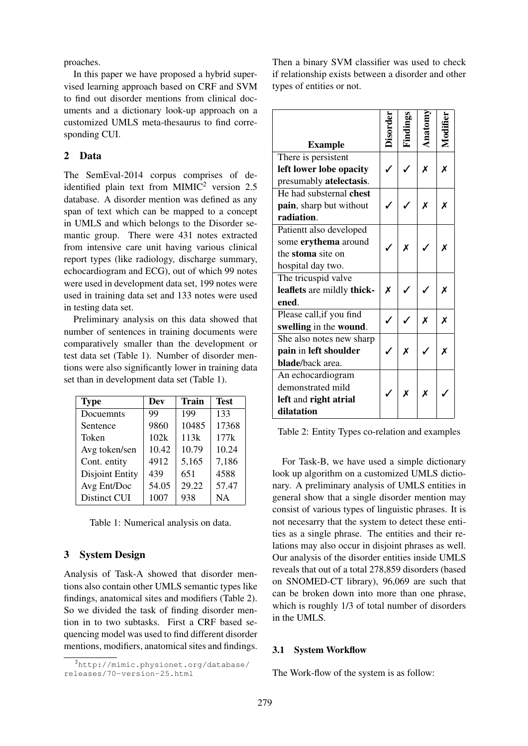proaches.

In this paper we have proposed a hybrid supervised learning approach based on CRF and SVM to find out disorder mentions from clinical documents and a dictionary look-up approach on a customized UMLS meta-thesaurus to find corresponding CUI.

# 2 Data

The SemEval-2014 corpus comprises of deidentified plain text from MIMIC<sup>2</sup> version 2.5 database. A disorder mention was defined as any span of text which can be mapped to a concept in UMLS and which belongs to the Disorder semantic group. There were 431 notes extracted from intensive care unit having various clinical report types (like radiology, discharge summary, echocardiogram and ECG), out of which 99 notes were used in development data set, 199 notes were used in training data set and 133 notes were used in testing data set.

Preliminary analysis on this data showed that number of sentences in training documents were comparatively smaller than the development or test data set (Table 1). Number of disorder mentions were also significantly lower in training data set than in development data set (Table 1).

| <b>Type</b>            | Dev   | <b>Train</b> | <b>Test</b> |
|------------------------|-------|--------------|-------------|
| Docuemnts              | 99    | 199          | 133         |
| Sentence               | 9860  | 10485        | 17368       |
| Token                  | 102k  | 113k         | 177k        |
| Avg token/sen          | 10.42 | 10.79        | 10.24       |
| Cont. entity           | 4912  | 5,165        | 7,186       |
| <b>Disjoint Entity</b> | 439   | 651          | 4588        |
| Avg Ent/Doc            | 54.05 | 29.22        | 57.47       |
| Distinct CUI           | 1007  | 938          | NA          |

|  |  | Table 1: Numerical analysis on data. |  |  |
|--|--|--------------------------------------|--|--|
|--|--|--------------------------------------|--|--|

### 3 System Design

Analysis of Task-A showed that disorder mentions also contain other UMLS semantic types like findings, anatomical sites and modifiers (Table 2). So we divided the task of finding disorder mention in to two subtasks. First a CRF based sequencing model was used to find different disorder mentions, modifiers, anatomical sites and findings. Then a binary SVM classifier was used to check if relationship exists between a disorder and other types of entities or not.

|                            |  | ğ, |     |   |
|----------------------------|--|----|-----|---|
| <b>Example</b>             |  |    | hai |   |
| There is persistent        |  |    |     |   |
| left lower lobe opacity    |  |    | X   | X |
| presumably atelectasis.    |  |    |     |   |
| He had substernal chest    |  |    |     |   |
| pain, sharp but without    |  |    | X   | Χ |
| radiation.                 |  |    |     |   |
| Patientt also developed    |  |    |     |   |
| some erythema around       |  | Χ  |     | Х |
| the stoma site on          |  |    |     |   |
| hospital day two.          |  |    |     |   |
| The tricuspid valve        |  |    |     |   |
| leaflets are mildly thick- |  |    |     | x |
| ened.                      |  |    |     |   |
| Please call, if you find   |  |    | Х   | Х |
| swelling in the wound.     |  |    |     |   |
| She also notes new sharp   |  |    |     |   |
| pain in left shoulder      |  | X  |     | X |
| blade/back area.           |  |    |     |   |
| An echocardiogram          |  |    |     |   |
| demonstrated mild          |  | X  | X   |   |
| left and right atrial      |  |    |     |   |
| dilatation                 |  |    |     |   |

Table 2: Entity Types co-relation and examples

For Task-B, we have used a simple dictionary look up algorithm on a customized UMLS dictionary. A preliminary analysis of UMLS entities in general show that a single disorder mention may consist of various types of linguistic phrases. It is not necesarry that the system to detect these entities as a single phrase. The entities and their relations may also occur in disjoint phrases as well. Our analysis of the disorder entities inside UMLS reveals that out of a total 278,859 disorders (based on SNOMED-CT library), 96,069 are such that can be broken down into more than one phrase, which is roughly  $1/3$  of total number of disorders in the UMLS.

#### 3.1 System Workflow

The Work-flow of the system is as follow:

<sup>2</sup>http://mimic.physionet.org/database/ releases/70-version-25.html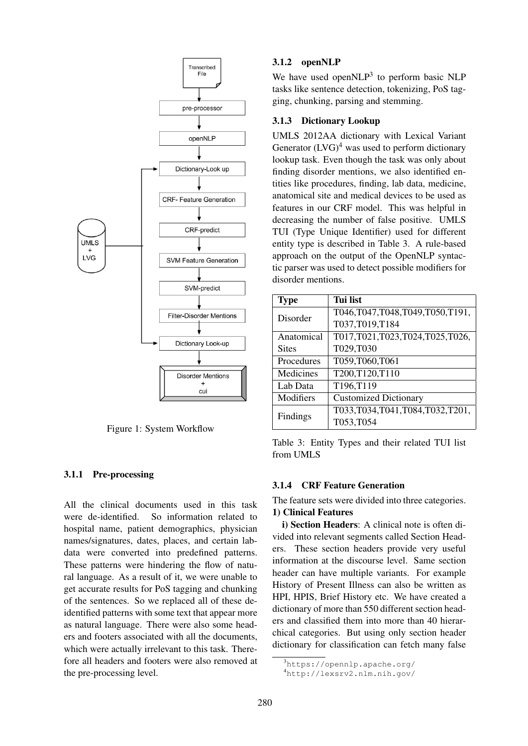

Figure 1: System Workflow

## 3.1.1 Pre-processing

All the clinical documents used in this task were de-identified. So information related to hospital name, patient demographics, physician names/signatures, dates, places, and certain labdata were converted into predefined patterns. These patterns were hindering the flow of natural language. As a result of it, we were unable to get accurate results for PoS tagging and chunking of the sentences. So we replaced all of these deidentified patterns with some text that appear more as natural language. There were also some headers and footers associated with all the documents, which were actually irrelevant to this task. Therefore all headers and footers were also removed at the pre-processing level.

### 3.1.2 openNLP

We have used open $NLP<sup>3</sup>$  to perform basic NLP tasks like sentence detection, tokenizing, PoS tagging, chunking, parsing and stemming.

### 3.1.3 Dictionary Lookup

UMLS 2012AA dictionary with Lexical Variant Generator  $(LVG)^4$  was used to perform dictionary lookup task. Even though the task was only about finding disorder mentions, we also identified entities like procedures, finding, lab data, medicine, anatomical site and medical devices to be used as features in our CRF model. This was helpful in decreasing the number of false positive. UMLS TUI (Type Unique Identifier) used for different entity type is described in Table 3. A rule-based approach on the output of the OpenNLP syntactic parser was used to detect possible modifiers for disorder mentions.

| <b>Type</b>  | Tui list                       |
|--------------|--------------------------------|
| Disorder     | T046,T047,T048,T049,T050,T191, |
|              | T037,T019,T184                 |
| Anatomical   | T017,T021,T023,T024,T025,T026, |
| <b>Sites</b> | T029,T030                      |
| Procedures   | T059,T060,T061                 |
| Medicines    | T200,T120,T110                 |
| Lab Data     | T196,T119                      |
| Modifiers    | <b>Customized Dictionary</b>   |
| Findings     | T033,T034,T041,T084,T032,T201, |
|              | T053,T054                      |

Table 3: Entity Types and their related TUI list from UMLS

### 3.1.4 CRF Feature Generation

The feature sets were divided into three categories. 1) Clinical Features

i) Section Headers: A clinical note is often divided into relevant segments called Section Headers. These section headers provide very useful information at the discourse level. Same section header can have multiple variants. For example History of Present Illness can also be written as HPI, HPIS, Brief History etc. We have created a dictionary of more than 550 different section headers and classified them into more than 40 hierarchical categories. But using only section header dictionary for classification can fetch many false

<sup>3</sup>https://opennlp.apache.org/

<sup>4</sup>http://lexsrv2.nlm.nih.gov/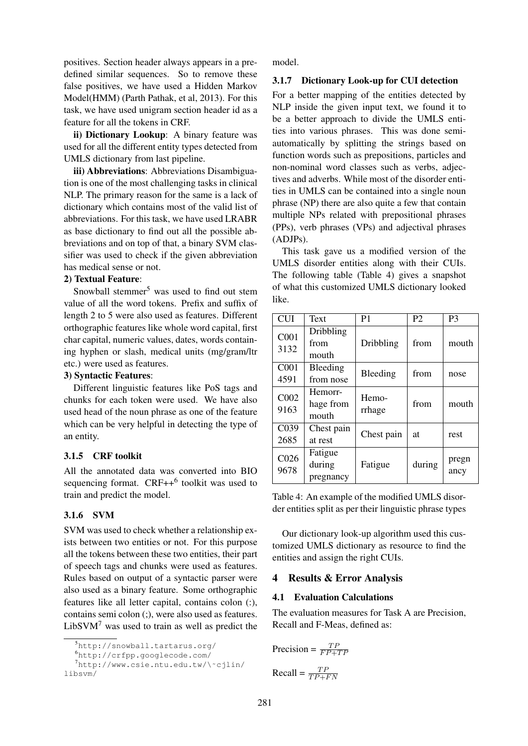positives. Section header always appears in a predefined similar sequences. So to remove these false positives, we have used a Hidden Markov Model(HMM) (Parth Pathak, et al, 2013). For this task, we have used unigram section header id as a feature for all the tokens in CRF.

ii) Dictionary Lookup: A binary feature was used for all the different entity types detected from UMLS dictionary from last pipeline.

iii) Abbreviations: Abbreviations Disambiguation is one of the most challenging tasks in clinical NLP. The primary reason for the same is a lack of dictionary which contains most of the valid list of abbreviations. For this task, we have used LRABR as base dictionary to find out all the possible abbreviations and on top of that, a binary SVM classifier was used to check if the given abbreviation has medical sense or not.

### 2) Textual Feature:

Snowball stemmer<sup>5</sup> was used to find out stem value of all the word tokens. Prefix and suffix of length 2 to 5 were also used as features. Different orthographic features like whole word capital, first char capital, numeric values, dates, words containing hyphen or slash, medical units (mg/gram/ltr etc.) were used as features.

### 3) Syntactic Features:

Different linguistic features like PoS tags and chunks for each token were used. We have also used head of the noun phrase as one of the feature which can be very helpful in detecting the type of an entity.

# 3.1.5 CRF toolkit

All the annotated data was converted into BIO sequencing format.  $CRF++^6$  toolkit was used to train and predict the model.

### 3.1.6 SVM

SVM was used to check whether a relationship exists between two entities or not. For this purpose all the tokens between these two entities, their part of speech tags and chunks were used as features. Rules based on output of a syntactic parser were also used as a binary feature. Some orthographic features like all letter capital, contains colon (:), contains semi colon (;), were also used as features.  $LibSVM<sup>7</sup>$  was used to train as well as predict the

libsvm/

model.

#### 3.1.7 Dictionary Look-up for CUI detection

For a better mapping of the entities detected by NLP inside the given input text, we found it to be a better approach to divide the UMLS entities into various phrases. This was done semiautomatically by splitting the strings based on function words such as prepositions, particles and non-nominal word classes such as verbs, adjectives and adverbs. While most of the disorder entities in UMLS can be contained into a single noun phrase (NP) there are also quite a few that contain multiple NPs related with prepositional phrases (PPs), verb phrases (VPs) and adjectival phrases (ADJPs).

This task gave us a modified version of the UMLS disorder entities along with their CUIs. The following table (Table 4) gives a snapshot of what this customized UMLS dictionary looked like.

| <b>CUI</b>               | Text                           | P1              | P <sub>2</sub> | P3            |
|--------------------------|--------------------------------|-----------------|----------------|---------------|
| C001<br>3132             | Dribbling<br>from<br>mouth     | Dribbling       | from           | mouth         |
| CO <sub>01</sub><br>4591 | Bleeding<br>from nose          | Bleeding        | from           | nose          |
| C002<br>9163             | Hemorr-<br>hage from<br>mouth  | Hemo-<br>rrhage | from           | mouth         |
| C039<br>2685             | Chest pain<br>at rest          | Chest pain      | at             | rest          |
| C <sub>026</sub><br>9678 | Fatigue<br>during<br>pregnancy | Fatigue         | during         | pregn<br>ancy |

Table 4: An example of the modified UMLS disorder entities split as per their linguistic phrase types

Our dictionary look-up algorithm used this customized UMLS dictionary as resource to find the entities and assign the right CUIs.

### 4 Results & Error Analysis

## 4.1 Evaluation Calculations

The evaluation measures for Task A are Precision, Recall and F-Meas, defined as:

$$
Precision = \frac{TP}{FP + TP}
$$

$$
Recall = \frac{TP}{TP + FN}
$$

<sup>5</sup>http://snowball.tartarus.org/

<sup>6</sup>http://crfpp.googlecode.com/

<sup>7</sup>http://www.csie.ntu.edu.tw/\˜cjlin/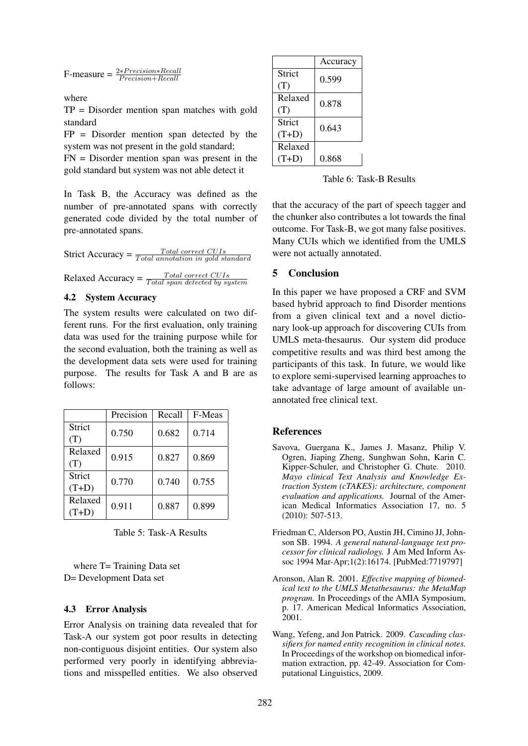$$
F-measure = \frac{2*Precision*Recall}{Precision+Recall}
$$

where

TP = Disorder mention span matches with gold standard

 $FP = Disorder$  mention span detected by the system was not present in the gold standard;

FN = Disorder mention span was present in the gold standard but system was not able detect it

In Task B, the Accuracy was defined as the number of pre-annotated spans with correctly generated code divided by the total number of pre-annotated spans.

Strict Accuracy =  $\frac{Total\ correct\ CUIs}{Total\ annotation\ in\ gold\ standard}$ Relaxed Accuracy =  $\frac{Total\ correct\ CUIs}{Total\ span\ detected\ by\ system}$ 

### 4.2 System Accuracy

The system results were calculated on two different runs. For the first evaluation, only training data was used for the training purpose while for the second evaluation, both the training as well as the development data sets were used for training purpose. The results for Task A and B are as follows:

|                    | Precision | Recall | F-Meas |
|--------------------|-----------|--------|--------|
| Strict<br>(T)      | 0.750     | 0.682  | 0.714  |
| Relaxed<br>(T)     | 0.915     | 0.827  | 0.869  |
| Strict<br>$(T+D)$  | 0.770     | 0.740  | 0.755  |
| Relaxed<br>$(T+D)$ | 0.911     | 0.887  | 0.899  |

Table 5: Task-A Results

where T= Training Data set D= Development Data set

### 4.3 Error Analysis

Error Analysis on training data revealed that for Task-A our system got poor results in detecting non-contiguous disjoint entities. Our system also performed very poorly in identifying abbreviations and misspelled entities. We also observed

|         | Accuracy |
|---------|----------|
| Strict  | 0.599    |
| (T)     |          |
| Relaxed | 0.878    |
| (T)     |          |
| Strict  | 0.643    |
| $(T+D)$ |          |
| Relaxed |          |
| $(T+D)$ | 0.868    |

Table 6: Task-B Results

that the accuracy of the part of speech tagger and the chunker also contributes a lot towards the final outcome. For Task-B, we got many false positives. Many CUIs which we identified from the UMLS were not actually annotated.

### 5 Conclusion

In this paper we have proposed a CRF and SVM based hybrid approach to find Disorder mentions from a given clinical text and a novel dictionary look-up approach for discovering CUIs from UMLS meta-thesaurus. Our system did produce competitive results and was third best among the participants of this task. In future, we would like to explore semi-supervised learning approaches to take advantage of large amount of available unannotated free clinical text.

### References

- Savova, Guergana K., James J. Masanz, Philip V. Ogren, Jiaping Zheng, Sunghwan Sohn, Karin C. Kipper-Schuler, and Christopher G. Chute. 2010. *Mayo clinical Text Analysis and Knowledge Extraction System (cTAKES): architecture, component evaluation and applications.* Journal of the American Medical Informatics Association 17, no. 5 (2010): 507-513.
- Friedman C, Alderson PO, Austin JH, Cimino JJ, Johnson SB. 1994. *A general natural-language text processor for clinical radiology.* J Am Med Inform Assoc 1994 Mar-Apr;1(2):16174. [PubMed:7719797]
- Aronson, Alan R. 2001. *Effective mapping of biomedical text to the UMLS Metathesaurus: the MetaMap program.* In Proceedings of the AMIA Symposium, p. 17. American Medical Informatics Association, 2001.
- Wang, Yefeng, and Jon Patrick. 2009. *Cascading classifiers for named entity recognition in clinical notes.* In Proceedings of the workshop on biomedical information extraction, pp. 42-49. Association for Computational Linguistics, 2009.